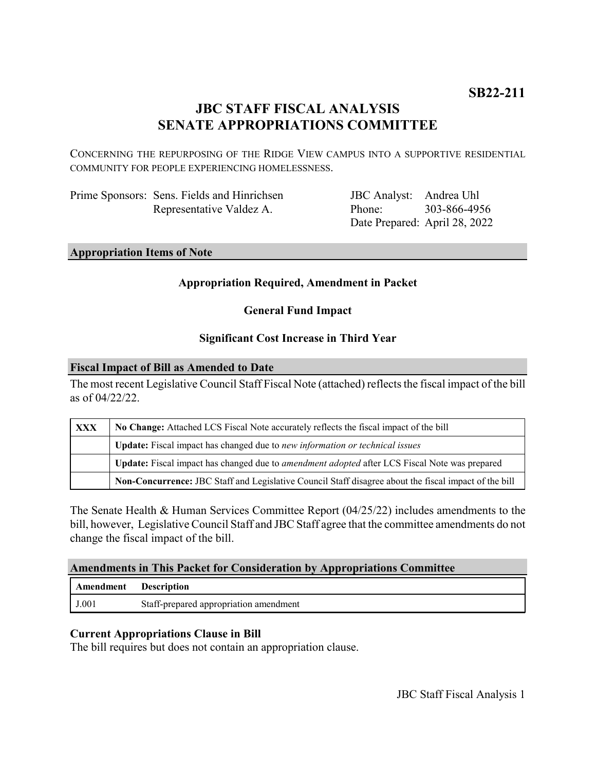# **JBC STAFF FISCAL ANALYSIS SENATE APPROPRIATIONS COMMITTEE**

CONCERNING THE REPURPOSING OF THE RIDGE VIEW CAMPUS INTO A SUPPORTIVE RESIDENTIAL COMMUNITY FOR PEOPLE EXPERIENCING HOMELESSNESS.

| Prime Sponsors: Sens. Fields and Hinrichsen |
|---------------------------------------------|
| Representative Valdez A.                    |

JBC Analyst: Andrea Uhl Phone: Date Prepared: April 28, 2022 303-866-4956

## **Appropriation Items of Note**

#### **Appropriation Required, Amendment in Packet**

**General Fund Impact**

#### **Significant Cost Increase in Third Year**

#### **Fiscal Impact of Bill as Amended to Date**

The most recent Legislative Council Staff Fiscal Note (attached) reflects the fiscal impact of the bill as of 04/22/22.

| <b>XXX</b> | No Change: Attached LCS Fiscal Note accurately reflects the fiscal impact of the bill                 |  |
|------------|-------------------------------------------------------------------------------------------------------|--|
|            | Update: Fiscal impact has changed due to new information or technical issues                          |  |
|            | Update: Fiscal impact has changed due to <i>amendment adopted</i> after LCS Fiscal Note was prepared  |  |
|            | Non-Concurrence: JBC Staff and Legislative Council Staff disagree about the fiscal impact of the bill |  |

The Senate Health & Human Services Committee Report (04/25/22) includes amendments to the bill, however, Legislative Council Staff and JBC Staff agree that the committee amendments do not change the fiscal impact of the bill.

### **Amendments in This Packet for Consideration by Appropriations Committee**

| <b>Amendment</b> Description |                                        |
|------------------------------|----------------------------------------|
| J.001                        | Staff-prepared appropriation amendment |

#### **Current Appropriations Clause in Bill**

The bill requires but does not contain an appropriation clause.